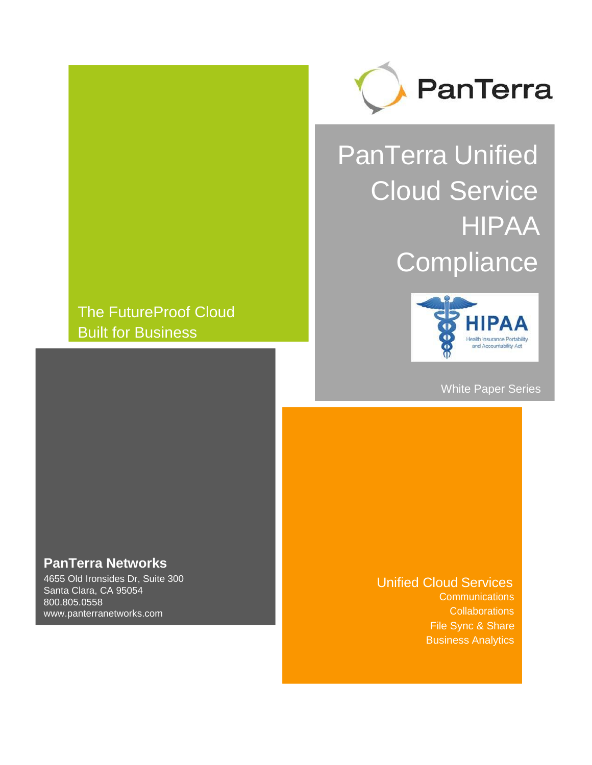

# PanTerra Unified Cloud Service HIPAA **Compliance**

# The FutureProof Cloud Built for Business



White Paper Series

## **PanTerra Networks**

4655 Old Ironsides Dr, Suite 300 Santa Clara, CA 95054 800.805.0558 [www.panterranetworks.com](http://www.panterranetworks.com/)

#### Unified Cloud Services **Communications**

**Collaborations** File Sync & Share Business Analytics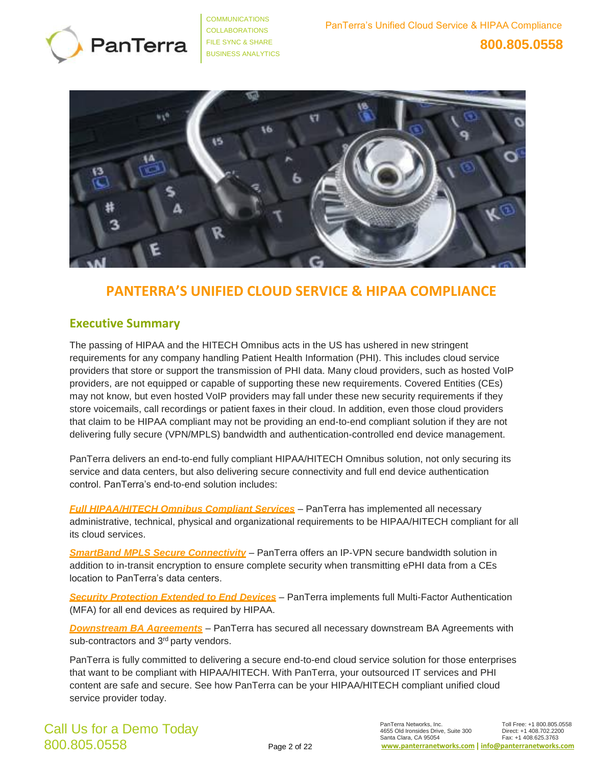



## **PANTERRA'S UNIFIED CLOUD SERVICE & HIPAA COMPLIANCE**

### **Executive Summary**

The passing of HIPAA and the HITECH Omnibus acts in the US has ushered in new stringent requirements for any company handling Patient Health Information (PHI). This includes cloud service providers that store or support the transmission of PHI data. Many cloud providers, such as hosted VoIP providers, are not equipped or capable of supporting these new requirements. Covered Entities (CEs) may not know, but even hosted VoIP providers may fall under these new security requirements if they store voicemails, call recordings or patient faxes in their cloud. In addition, even those cloud providers that claim to be HIPAA compliant may not be providing an end-to-end compliant solution if they are not delivering fully secure (VPN/MPLS) bandwidth and authentication-controlled end device management.

PanTerra delivers an end-to-end fully compliant HIPAA/HITECH Omnibus solution, not only securing its service and data centers, but also delivering secure connectivity and full end device authentication control. PanTerra's end-to-end solution includes:

*Full HIPAA/HITECH Omnibus Compliant Services* – PanTerra has implemented all necessary administrative, technical, physical and organizational requirements to be HIPAA/HITECH compliant for all its cloud services.

*SmartBand MPLS Secure Connectivity* – PanTerra offers an IP-VPN secure bandwidth solution in addition to in-transit encryption to ensure complete security when transmitting ePHI data from a CEs location to PanTerra's data centers.

*Security Protection Extended to End Devices* – PanTerra implements full Multi-Factor Authentication (MFA) for all end devices as required by HIPAA.

*Downstream BA Agreements* – PanTerra has secured all necessary downstream BA Agreements with sub-contractors and 3<sup>rd</sup> party vendors.

PanTerra is fully committed to delivering a secure end-to-end cloud service solution for those enterprises that want to be compliant with HIPAA/HITECH. With PanTerra, your outsourced IT services and PHI content are safe and secure. See how PanTerra can be your HIPAA/HITECH compliant unified cloud service provider today.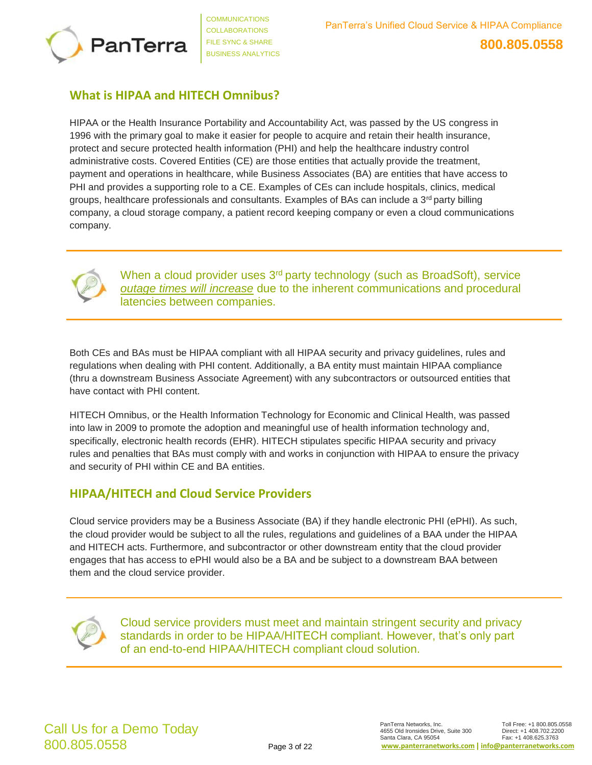

## **What is HIPAA and HITECH Omnibus?**

HIPAA or the Health Insurance Portability and Accountability Act, was passed by the US congress in 1996 with the primary goal to make it easier for people to acquire and retain their health insurance, protect and secure protected health information (PHI) and help the healthcare industry control administrative costs. Covered Entities (CE) are those entities that actually provide the treatment, payment and operations in healthcare, while Business Associates (BA) are entities that have access to PHI and provides a supporting role to a CE. Examples of CEs can include hospitals, clinics, medical groups, healthcare professionals and consultants. Examples of BAs can include a  $3<sup>rd</sup>$  party billing company, a cloud storage company, a patient record keeping company or even a cloud communications company.



When a cloud provider uses 3<sup>rd</sup> party technology (such as BroadSoft), service *outage times will increase* due to the inherent communications and procedural latencies between companies.

Both CEs and BAs must be HIPAA compliant with all HIPAA security and privacy guidelines, rules and regulations when dealing with PHI content. Additionally, a BA entity must maintain HIPAA compliance (thru a downstream Business Associate Agreement) with any subcontractors or outsourced entities that have contact with PHI content.

HITECH Omnibus, or the Health Information Technology for Economic and Clinical Health, was passed into law in 2009 to promote the adoption and meaningful use of health information technology and, specifically, electronic health records (EHR). HITECH stipulates specific HIPAA security and privacy rules and penalties that BAs must comply with and works in conjunction with HIPAA to ensure the privacy and security of PHI within CE and BA entities.

## **HIPAA/HITECH and Cloud Service Providers**

Cloud service providers may be a Business Associate (BA) if they handle electronic PHI (ePHI). As such, the cloud provider would be subject to all the rules, regulations and guidelines of a BAA under the HIPAA and HITECH acts. Furthermore, and subcontractor or other downstream entity that the cloud provider engages that has access to ePHI would also be a BA and be subject to a downstream BAA between them and the cloud service provider.



Cloud service providers must meet and maintain stringent security and privacy standards in order to be HIPAA/HITECH compliant. However, that's only part of an end-to-end HIPAA/HITECH compliant cloud solution.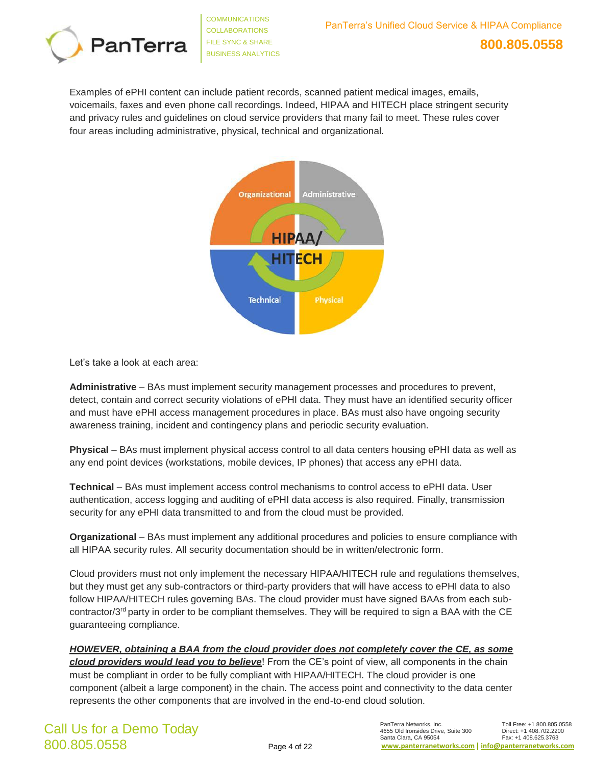

Examples of ePHI content can include patient records, scanned patient medical images, emails, voicemails, faxes and even phone call recordings. Indeed, HIPAA and HITECH place stringent security and privacy rules and guidelines on cloud service providers that many fail to meet. These rules cover four areas including administrative, physical, technical and organizational.



Let's take a look at each area:

**Administrative** – BAs must implement security management processes and procedures to prevent, detect, contain and correct security violations of ePHI data. They must have an identified security officer and must have ePHI access management procedures in place. BAs must also have ongoing security awareness training, incident and contingency plans and periodic security evaluation.

**Physical** – BAs must implement physical access control to all data centers housing ePHI data as well as any end point devices (workstations, mobile devices, IP phones) that access any ePHI data.

**Technical** – BAs must implement access control mechanisms to control access to ePHI data. User authentication, access logging and auditing of ePHI data access is also required. Finally, transmission security for any ePHI data transmitted to and from the cloud must be provided.

**Organizational** – BAs must implement any additional procedures and policies to ensure compliance with all HIPAA security rules. All security documentation should be in written/electronic form.

Cloud providers must not only implement the necessary HIPAA/HITECH rule and regulations themselves, but they must get any sub-contractors or third-party providers that will have access to ePHI data to also follow HIPAA/HITECH rules governing BAs. The cloud provider must have signed BAAs from each subcontractor/3rd party in order to be compliant themselves. They will be required to sign a BAA with the CE guaranteeing compliance.

#### *HOWEVER, obtaining a BAA from the cloud provider does not completely cover the CE, as some*

*cloud providers would lead you to believe*! From the CE's point of view, all components in the chain must be compliant in order to be fully compliant with HIPAA/HITECH. The cloud provider is one component (albeit a large component) in the chain. The access point and connectivity to the data center represents the other components that are involved in the end-to-end cloud solution.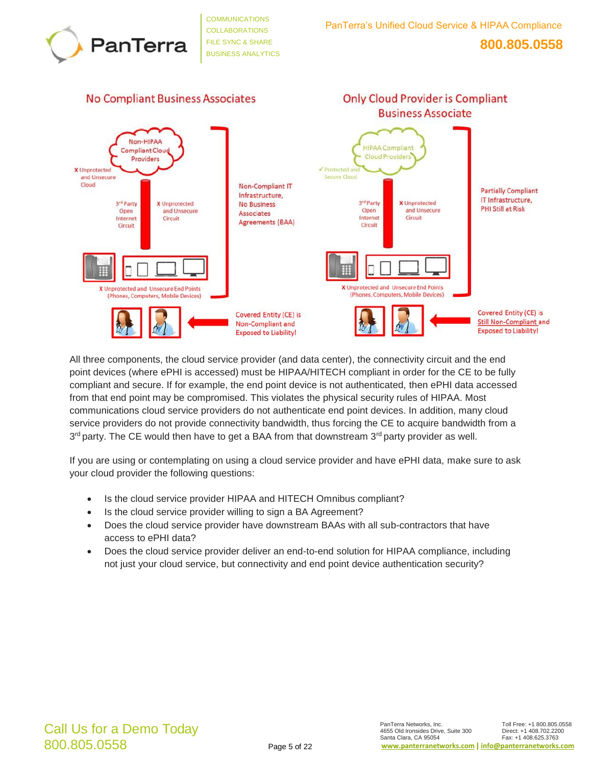



All three components, the cloud service provider (and data center), the connectivity circuit and the end point devices (where ePHI is accessed) must be HIPAA/HITECH compliant in order for the CE to be fully compliant and secure. If for example, the end point device is not authenticated, then ePHI data accessed from that end point may be compromised. This violates the physical security rules of HIPAA. Most communications cloud service providers do not authenticate end point devices. In addition, many cloud service providers do not provide connectivity bandwidth, thus forcing the CE to acquire bandwidth from a 3<sup>rd</sup> party. The CE would then have to get a BAA from that downstream 3<sup>rd</sup> party provider as well.

If you are using or contemplating on using a cloud service provider and have ePHI data, make sure to ask your cloud provider the following questions:

- Is the cloud service provider HIPAA and HITECH Omnibus compliant?
- Is the cloud service provider willing to sign a BA Agreement?
- Does the cloud service provider have downstream BAAs with all sub-contractors that have access to ePHI data?
- Does the cloud service provider deliver an end-to-end solution for HIPAA compliance, including not just your cloud service, but connectivity and end point device authentication security?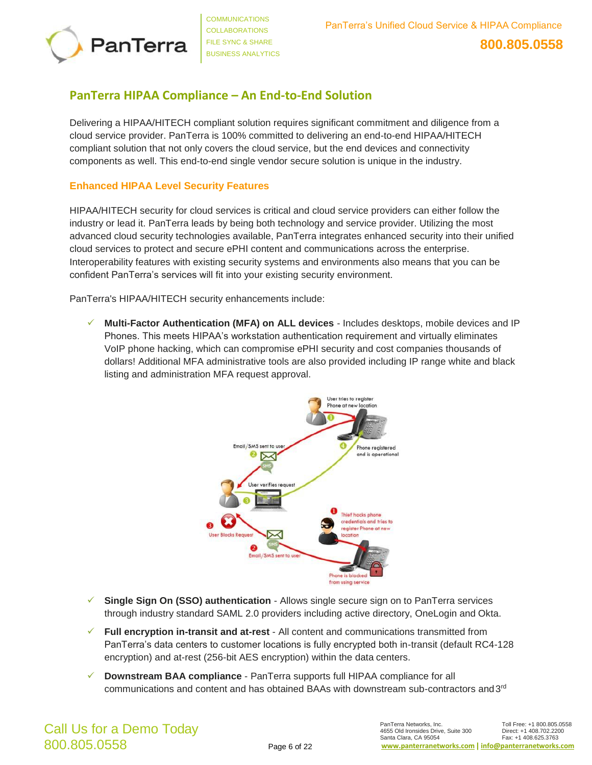

## **PanTerra HIPAA Compliance – An End-to-End Solution**

Delivering a HIPAA/HITECH compliant solution requires significant commitment and diligence from a cloud service provider. PanTerra is 100% committed to delivering an end-to-end HIPAA/HITECH compliant solution that not only covers the cloud service, but the end devices and connectivity components as well. This end-to-end single vendor secure solution is unique in the industry.

#### **Enhanced HIPAA Level Security Features**

HIPAA/HITECH security for cloud services is critical and cloud service providers can either follow the industry or lead it. PanTerra leads by being both technology and service provider. Utilizing the most advanced cloud security technologies available, PanTerra integrates enhanced security into their unified cloud services to protect and secure ePHI content and communications across the enterprise. Interoperability features with existing security systems and environments also means that you can be confident PanTerra's services will fit into your existing security environment.

PanTerra's HIPAA/HITECH security enhancements include:

✓ **Multi-Factor Authentication (MFA) on ALL devices** - Includes desktops, mobile devices and IP Phones. This meets HIPAA's workstation authentication requirement and virtually eliminates VoIP phone hacking, which can compromise ePHI security and cost companies thousands of dollars! Additional MFA administrative tools are also provided including IP range white and black listing and administration MFA request approval.



- ✓ **Single Sign On (SSO) authentication**  Allows single secure sign on to PanTerra services through industry standard SAML 2.0 providers including active directory, OneLogin and Okta.
- ✓ **Full encryption in-transit and at-rest**  All content and communications transmitted from PanTerra's data centers to customer locations is fully encrypted both in-transit (default RC4-128 encryption) and at-rest (256-bit AES encryption) within the data centers.
- ✓ **Downstream BAA compliance**  PanTerra supports full HIPAA compliance for all communications and content and has obtained BAAs with downstream sub-contractors and  $3<sup>rd</sup>$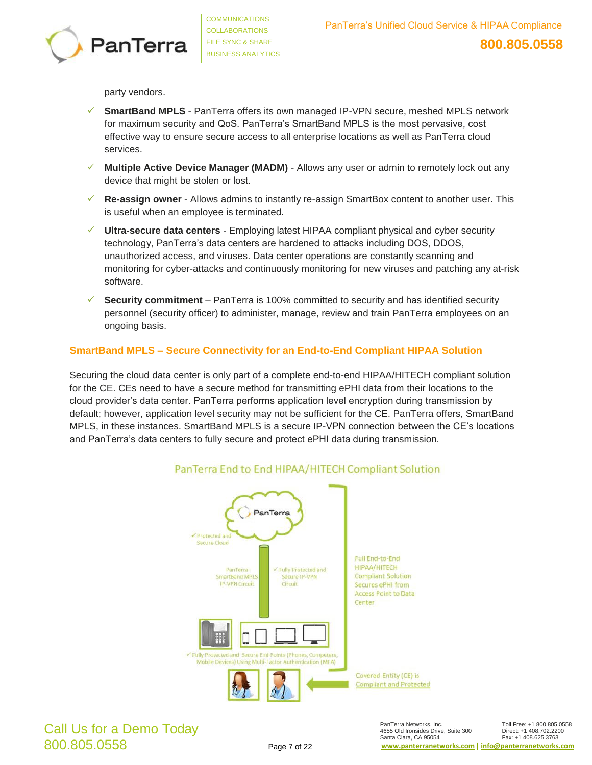

party vendors.

- **SmartBand MPLS** PanTerra offers its own managed IP-VPN secure, meshed MPLS network for maximum security and QoS. PanTerra's SmartBand MPLS is the most pervasive, cost effective way to ensure secure access to all enterprise locations as well as PanTerra cloud services.
- **Multiple Active Device Manager (MADM)** Allows any user or admin to remotely lock out any device that might be stolen or lost.
- ✓ **Re-assign owner**  Allows admins to instantly re-assign SmartBox content to another user. This is useful when an employee is terminated.
- ✓ **Ultra-secure data centers**  Employing latest HIPAA compliant physical and cyber security technology, PanTerra's data centers are hardened to attacks including DOS, DDOS, unauthorized access, and viruses. Data center operations are constantly scanning and monitoring for cyber-attacks and continuously monitoring for new viruses and patching any at-risk software.
- ✓ **Security commitment**  PanTerra is 100% committed to security and has identified security personnel (security officer) to administer, manage, review and train PanTerra employees on an ongoing basis.

#### **SmartBand MPLS – Secure Connectivity for an End-to-End Compliant HIPAA Solution**

Securing the cloud data center is only part of a complete end-to-end HIPAA/HITECH compliant solution for the CE. CEs need to have a secure method for transmitting ePHI data from their locations to the cloud provider's data center. PanTerra performs application level encryption during transmission by default; however, application level security may not be sufficient for the CE. PanTerra offers, SmartBand MPLS, in these instances. SmartBand MPLS is a secure IP-VPN connection between the CE's locations and PanTerra's data centers to fully secure and protect ePHI data during transmission.



#### PanTerra End to End HIPAA/HITECH Compliant Solution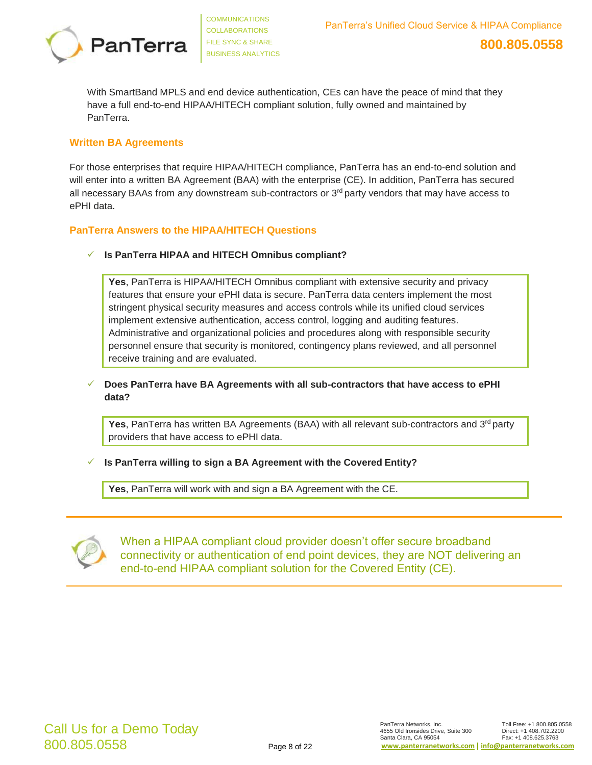

With SmartBand MPLS and end device authentication, CEs can have the peace of mind that they have a full end-to-end HIPAA/HITECH compliant solution, fully owned and maintained by PanTerra.

#### **Written BA Agreements**

For those enterprises that require HIPAA/HITECH compliance, PanTerra has an end-to-end solution and will enter into a written BA Agreement (BAA) with the enterprise (CE). In addition, PanTerra has secured all necessary BAAs from any downstream sub-contractors or  $3<sup>rd</sup>$  party vendors that may have access to ePHI data.

#### **PanTerra Answers to the HIPAA/HITECH Questions**

✓ **Is PanTerra HIPAA and HITECH Omnibus compliant?**

**Yes**, PanTerra is HIPAA/HITECH Omnibus compliant with extensive security and privacy features that ensure your ePHI data is secure. PanTerra data centers implement the most stringent physical security measures and access controls while its unified cloud services implement extensive authentication, access control, logging and auditing features. Administrative and organizational policies and procedures along with responsible security personnel ensure that security is monitored, contingency plans reviewed, and all personnel receive training and are evaluated.

✓ **Does PanTerra have BA Agreements with all sub-contractors that have access to ePHI data?**

**Yes**, PanTerra has written BA Agreements (BAA) with all relevant sub-contractors and 3<sup>rd</sup> party providers that have access to ePHI data.

#### ✓ **Is PanTerra willing to sign a BA Agreement with the Covered Entity?**

**Yes**, PanTerra will work with and sign a BA Agreement with the CE.



When a HIPAA compliant cloud provider doesn't offer secure broadband connectivity or authentication of end point devices, they are NOT delivering an end-to-end HIPAA compliant solution for the Covered Entity (CE).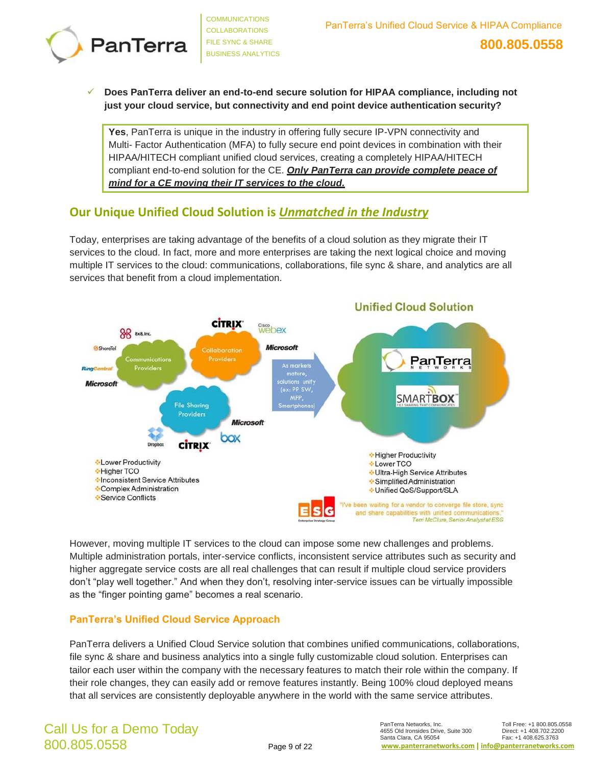

✓ **Does PanTerra deliver an end-to-end secure solution for HIPAA compliance, including not just your cloud service, but connectivity and end point device authentication security?**

**Yes**, PanTerra is unique in the industry in offering fully secure IP-VPN connectivity and Multi- Factor Authentication (MFA) to fully secure end point devices in combination with their HIPAA/HITECH compliant unified cloud services, creating a completely HIPAA/HITECH compliant end-to-end solution for the CE. *Only PanTerra can provide complete peace of mind for a CE moving their IT services to the cloud.*

## **Our Unique Unified Cloud Solution is** *Unmatched in the Industry*

Today, enterprises are taking advantage of the benefits of a cloud solution as they migrate their IT services to the cloud. In fact, more and more enterprises are taking the next logical choice and moving multiple IT services to the cloud: communications, collaborations, file sync & share, and analytics are all services that benefit from a cloud implementation.



However, moving multiple IT services to the cloud can impose some new challenges and problems. Multiple administration portals, inter-service conflicts, inconsistent service attributes such as security and higher aggregate service costs are all real challenges that can result if multiple cloud service providers don't "play well together." And when they don't, resolving inter-service issues can be virtually impossible as the "finger pointing game" becomes a real scenario.

#### **PanTerra's Unified Cloud Service Approach**

PanTerra delivers a Unified Cloud Service solution that combines unified communications, collaborations, file sync & share and business analytics into a single fully customizable cloud solution. Enterprises can tailor each user within the company with the necessary features to match their role within the company. If their role changes, they can easily add or remove features instantly. Being 100% cloud deployed means that all services are consistently deployable anywhere in the world with the same service attributes.

## Call Us for a Demo Today 800.805.0558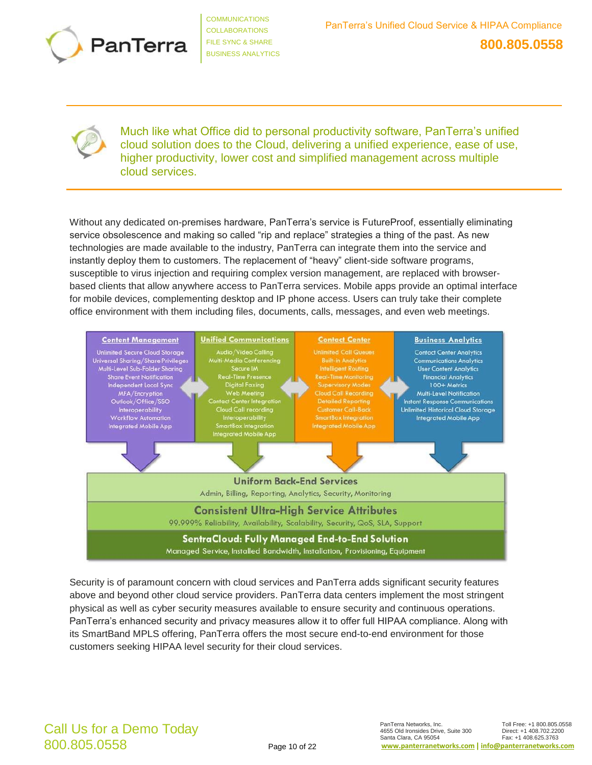



Much like what Office did to personal productivity software, PanTerra's unified cloud solution does to the Cloud, delivering a unified experience, ease of use, higher productivity, lower cost and simplified management across multiple cloud services.

Without any dedicated on-premises hardware, PanTerra's service is FutureProof, essentially eliminating service obsolescence and making so called "rip and replace" strategies a thing of the past. As new technologies are made available to the industry, PanTerra can integrate them into the service and instantly deploy them to customers. The replacement of "heavy" client-side software programs, susceptible to virus injection and requiring complex version management, are replaced with browserbased clients that allow anywhere access to PanTerra services. Mobile apps provide an optimal interface for mobile devices, complementing desktop and IP phone access. Users can truly take their complete office environment with them including files, documents, calls, messages, and even web meetings.



Security is of paramount concern with cloud services and PanTerra adds significant security features above and beyond other cloud service providers. PanTerra data centers implement the most stringent physical as well as cyber security measures available to ensure security and continuous operations. PanTerra's enhanced security and privacy measures allow it to offer full HIPAA compliance. Along with its SmartBand MPLS offering, PanTerra offers the most secure end-to-end environment for those customers seeking HIPAA level security for their cloud services.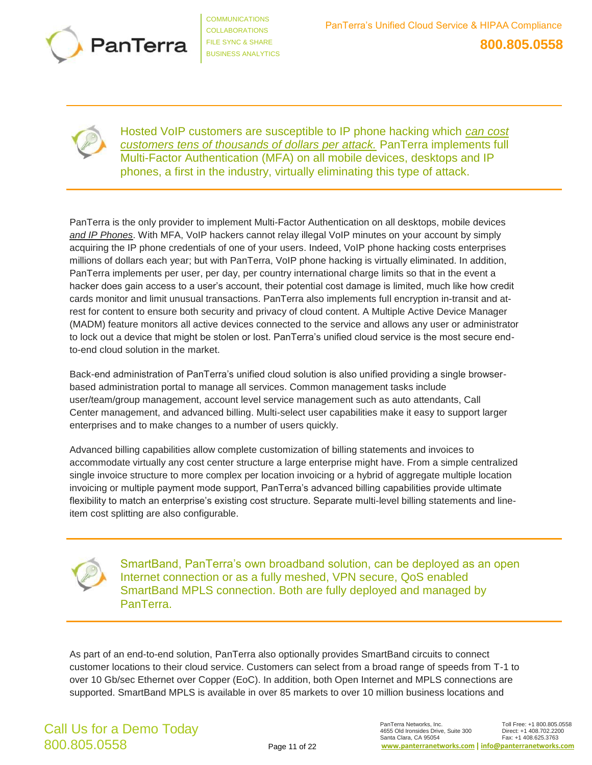



Hosted VoIP customers are susceptible to IP phone hacking which *can cost customers tens of thousands of dollars per attack.* PanTerra implements full Multi-Factor Authentication (MFA) on all mobile devices, desktops and IP phones, a first in the industry, virtually eliminating this type of attack.

PanTerra is the only provider to implement Multi-Factor Authentication on all desktops, mobile devices *and IP Phones*. With MFA, VoIP hackers cannot relay illegal VoIP minutes on your account by simply acquiring the IP phone credentials of one of your users. Indeed, VoIP phone hacking costs enterprises millions of dollars each year; but with PanTerra, VoIP phone hacking is virtually eliminated. In addition, PanTerra implements per user, per day, per country international charge limits so that in the event a hacker does gain access to a user's account, their potential cost damage is limited, much like how credit cards monitor and limit unusual transactions. PanTerra also implements full encryption in-transit and atrest for content to ensure both security and privacy of cloud content. A Multiple Active Device Manager (MADM) feature monitors all active devices connected to the service and allows any user or administrator to lock out a device that might be stolen or lost. PanTerra's unified cloud service is the most secure endto-end cloud solution in the market.

Back-end administration of PanTerra's unified cloud solution is also unified providing a single browserbased administration portal to manage all services. Common management tasks include user/team/group management, account level service management such as auto attendants, Call Center management, and advanced billing. Multi-select user capabilities make it easy to support larger enterprises and to make changes to a number of users quickly.

Advanced billing capabilities allow complete customization of billing statements and invoices to accommodate virtually any cost center structure a large enterprise might have. From a simple centralized single invoice structure to more complex per location invoicing or a hybrid of aggregate multiple location invoicing or multiple payment mode support, PanTerra's advanced billing capabilities provide ultimate flexibility to match an enterprise's existing cost structure. Separate multi-level billing statements and lineitem cost splitting are also configurable.



SmartBand, PanTerra's own broadband solution, can be deployed as an open Internet connection or as a fully meshed, VPN secure, QoS enabled SmartBand MPLS connection. Both are fully deployed and managed by PanTerra.

As part of an end-to-end solution, PanTerra also optionally provides SmartBand circuits to connect customer locations to their cloud service. Customers can select from a broad range of speeds from T-1 to over 10 Gb/sec Ethernet over Copper (EoC). In addition, both Open Internet and MPLS connections are supported. SmartBand MPLS is available in over 85 markets to over 10 million business locations and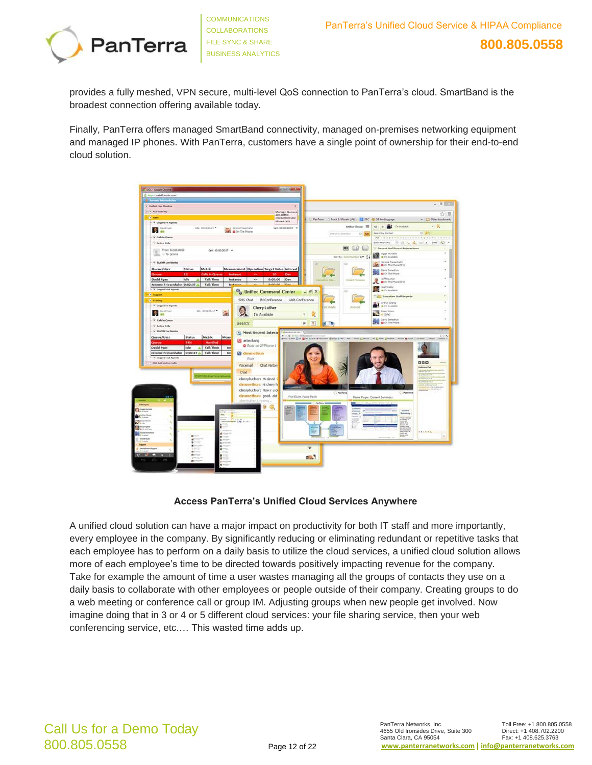

provides a fully meshed, VPN secure, multi-level QoS connection to PanTerra's cloud. SmartBand is the broadest connection offering available today.

Finally, PanTerra offers managed SmartBand connectivity, managed on-premises networking equipment and managed IP phones. With PanTerra, customers have a single point of ownership for their end-to-end cloud solution.



#### **Access PanTerra's Unified Cloud Services Anywhere**

A unified cloud solution can have a major impact on productivity for both IT staff and more importantly, every employee in the company. By significantly reducing or eliminating redundant or repetitive tasks that each employee has to perform on a daily basis to utilize the cloud services, a unified cloud solution allows more of each employee's time to be directed towards positively impacting revenue for the company. Take for example the amount of time a user wastes managing all the groups of contacts they use on a daily basis to collaborate with other employees or people outside of their company. Creating groups to do a web meeting or conference call or group IM. Adjusting groups when new people get involved. Now imagine doing that in 3 or 4 or 5 different cloud services: your file sharing service, then your web conferencing service, etc.… This wasted time adds up.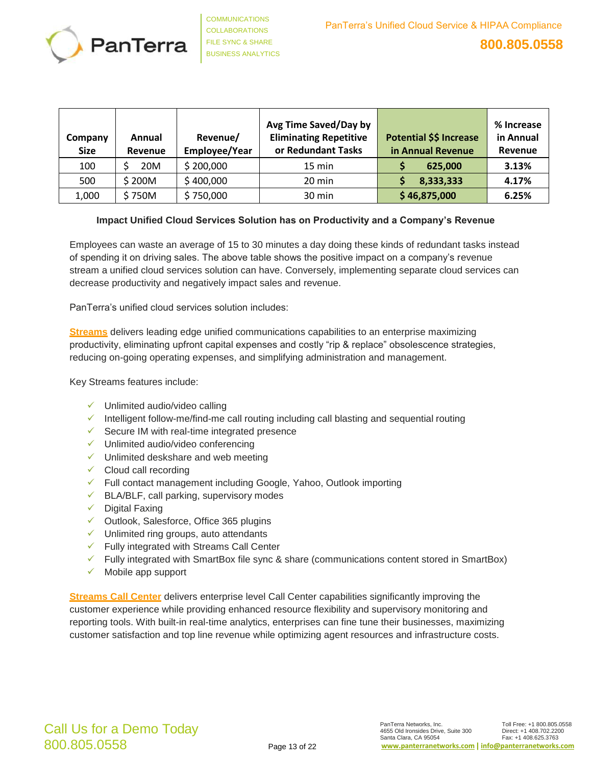

| Company<br><b>Size</b> | Annual<br>Revenue | Revenue/<br>Employee/Year | Avg Time Saved/Day by<br><b>Eliminating Repetitive</b><br>or Redundant Tasks | Potential \$\$ Increase<br>in Annual Revenue | % Increase<br>in Annual<br>Revenue |
|------------------------|-------------------|---------------------------|------------------------------------------------------------------------------|----------------------------------------------|------------------------------------|
| 100                    | 20M               | \$200,000                 | $15 \text{ min}$                                                             | 625,000                                      | 3.13%                              |
| 500                    | \$200M            | \$400,000                 | 20 min                                                                       | 8,333,333                                    | 4.17%                              |
| 1,000                  | \$750M            | \$750,000                 | 30 min                                                                       | \$46,875,000                                 | 6.25%                              |

#### **Impact Unified Cloud Services Solution has on Productivity and a Company's Revenue**

Employees can waste an average of 15 to 30 minutes a day doing these kinds of redundant tasks instead of spending it on driving sales. The above table shows the positive impact on a company's revenue stream a unified cloud services solution can have. Conversely, implementing separate cloud services can decrease productivity and negatively impact sales and revenue.

PanTerra's unified cloud services solution includes:

**Streams** delivers leading edge unified communications capabilities to an enterprise maximizing productivity, eliminating upfront capital expenses and costly "rip & replace" obsolescence strategies, reducing on-going operating expenses, and simplifying administration and management.

Key Streams features include:

- $\checkmark$  Unlimited audio/video calling
- ✓ Intelligent follow-me/find-me call routing including call blasting and sequential routing
- $\checkmark$  Secure IM with real-time integrated presence
- ✓ Unlimited audio/video conferencing
- ✓ Unlimited deskshare and web meeting
- $\checkmark$  Cloud call recording
- ✓ Full contact management including Google, Yahoo, Outlook importing
- $\checkmark$  BLA/BLF, call parking, supervisory modes
- $\checkmark$  Digital Faxing
- ✓ Outlook, Salesforce, Office 365 plugins
- ✓ Unlimited ring groups, auto attendants
- ✓ Fully integrated with Streams Call Center
- ✓ Fully integrated with SmartBox file sync & share (communications content stored in SmartBox)
- $\checkmark$  Mobile app support

**Streams Call Center** delivers enterprise level Call Center capabilities significantly improving the customer experience while providing enhanced resource flexibility and supervisory monitoring and reporting tools. With built-in real-time analytics, enterprises can fine tune their businesses, maximizing customer satisfaction and top line revenue while optimizing agent resources and infrastructure costs.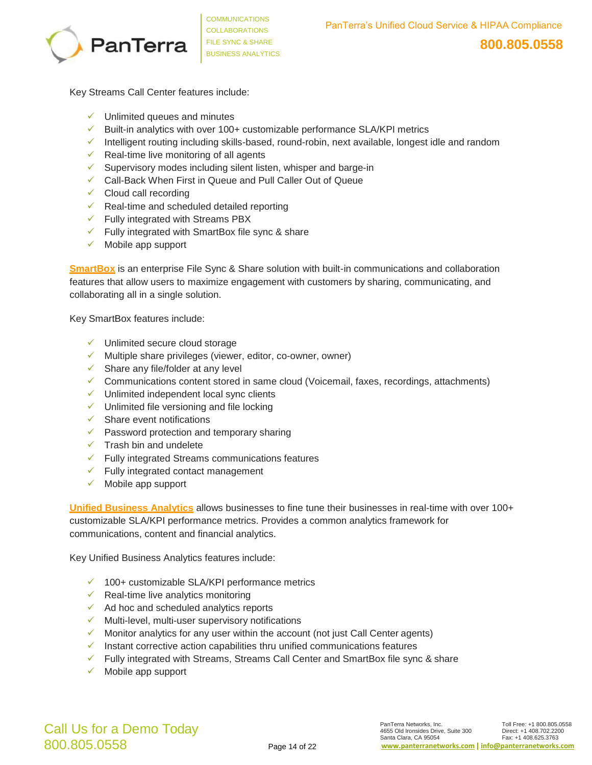

Key Streams Call Center features include:

- $\checkmark$  Unlimited queues and minutes
- $\checkmark$  Built-in analytics with over 100+ customizable performance SLA/KPI metrics
- ✓ Intelligent routing including skills-based, round-robin, next available, longest idle and random
- $\checkmark$  Real-time live monitoring of all agents
- ✓ Supervisory modes including silent listen, whisper and barge-in
- ✓ Call-Back When First in Queue and Pull Caller Out of Queue
- $\checkmark$  Cloud call recording
- $\checkmark$  Real-time and scheduled detailed reporting
- $\checkmark$  Fully integrated with Streams PBX
- ✓ Fully integrated with SmartBox file sync & share
- $\checkmark$  Mobile app support

**SmartBox** is an enterprise File Sync & Share solution with built-in communications and collaboration features that allow users to maximize engagement with customers by sharing, communicating, and collaborating all in a single solution.

Key SmartBox features include:

- ✓ Unlimited secure cloud storage
- ✓ Multiple share privileges (viewer, editor, co-owner, owner)
- $\checkmark$  Share any file/folder at any level
- ✓ Communications content stored in same cloud (Voicemail, faxes, recordings, attachments)
- ✓ Unlimited independent local sync clients
- ✓ Unlimited file versioning and file locking
- $\checkmark$  Share event notifications
- ✓ Password protection and temporary sharing
- $\checkmark$  Trash bin and undelete
- ✓ Fully integrated Streams communications features
- $\checkmark$  Fully integrated contact management
- $\checkmark$  Mobile app support

**Unified Business Analytics** allows businesses to fine tune their businesses in real-time with over 100+ customizable SLA/KPI performance metrics. Provides a common analytics framework for communications, content and financial analytics.

Key Unified Business Analytics features include:

- ✓ 100+ customizable SLA/KPI performance metrics
- $\checkmark$  Real-time live analytics monitoring
- $\checkmark$  Ad hoc and scheduled analytics reports
- ✓ Multi-level, multi-user supervisory notifications
- $\checkmark$  Monitor analytics for any user within the account (not just Call Center agents)
- $\checkmark$  Instant corrective action capabilities thru unified communications features
- ✓ Fully integrated with Streams, Streams Call Center and SmartBox file sync & share
- $\checkmark$  Mobile app support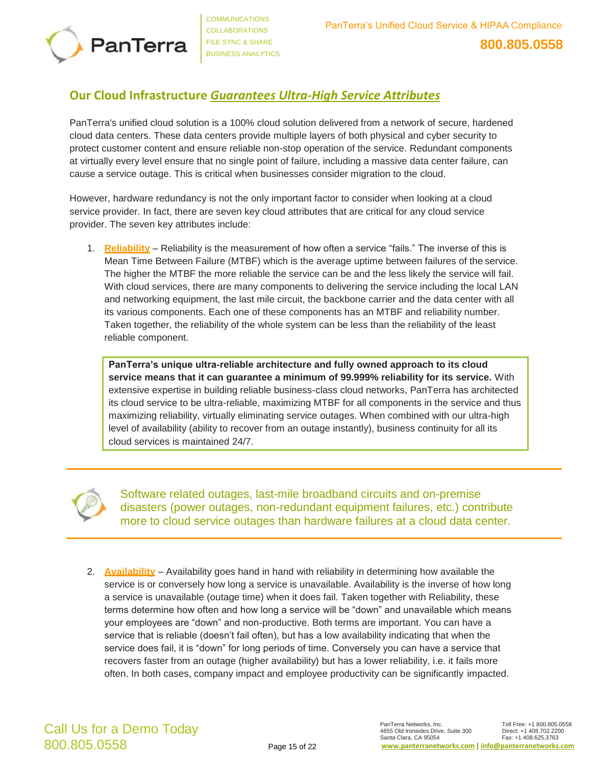

## **Our Cloud Infrastructure** *Guarantees Ultra-High Service Attributes*

PanTerra's unified cloud solution is a 100% cloud solution delivered from a network of secure, hardened cloud data centers. These data centers provide multiple layers of both physical and cyber security to protect customer content and ensure reliable non-stop operation of the service. Redundant components at virtually every level ensure that no single point of failure, including a massive data center failure, can cause a service outage. This is critical when businesses consider migration to the cloud.

However, hardware redundancy is not the only important factor to consider when looking at a cloud service provider. In fact, there are seven key cloud attributes that are critical for any cloud service provider. The seven key attributes include:

1. **Reliability** – Reliability is the measurement of how often a service "fails." The inverse of this is Mean Time Between Failure (MTBF) which is the average uptime between failures of the service. The higher the MTBF the more reliable the service can be and the less likely the service will fail. With cloud services, there are many components to delivering the service including the local LAN and networking equipment, the last mile circuit, the backbone carrier and the data center with all its various components. Each one of these components has an MTBF and reliability number. Taken together, the reliability of the whole system can be less than the reliability of the least reliable component.

**PanTerra's unique ultra-reliable architecture and fully owned approach to its cloud service means that it can guarantee a minimum of 99.999% reliability for its service.** With extensive expertise in building reliable business-class cloud networks, PanTerra has architected its cloud service to be ultra-reliable, maximizing MTBF for all components in the service and thus maximizing reliability, virtually eliminating service outages. When combined with our ultra-high level of availability (ability to recover from an outage instantly), business continuity for all its cloud services is maintained 24/7.



Software related outages, last-mile broadband circuits and on-premise disasters (power outages, non-redundant equipment failures, etc.) contribute more to cloud service outages than hardware failures at a cloud data center.

2. **Availability** – Availability goes hand in hand with reliability in determining how available the service is or conversely how long a service is unavailable. Availability is the inverse of how long a service is unavailable (outage time) when it does fail. Taken together with Reliability, these terms determine how often and how long a service will be "down" and unavailable which means your employees are "down" and non-productive. Both terms are important. You can have a service that is reliable (doesn't fail often), but has a low availability indicating that when the service does fail, it is "down" for long periods of time. Conversely you can have a service that recovers faster from an outage (higher availability) but has a lower reliability, i.e. it fails more often. In both cases, company impact and employee productivity can be significantly impacted.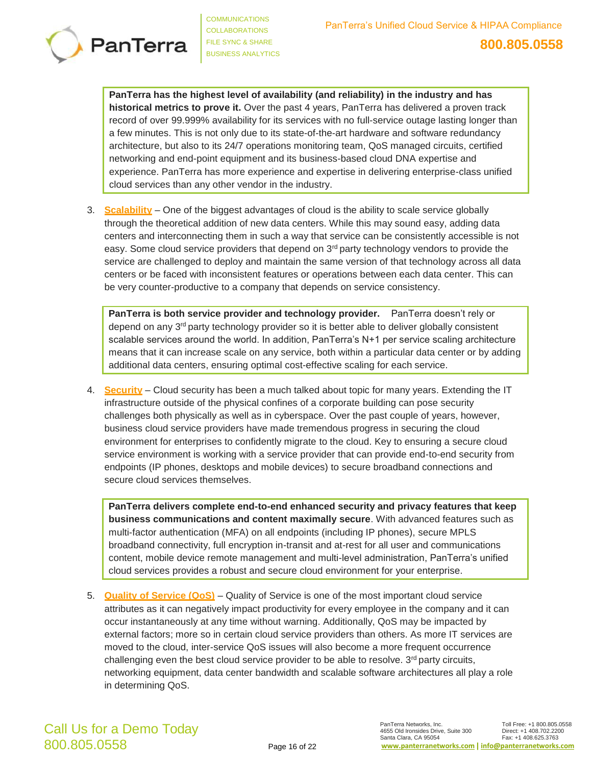

**PanTerra has the highest level of availability (and reliability) in the industry and has historical metrics to prove it.** Over the past 4 years, PanTerra has delivered a proven track record of over 99.999% availability for its services with no full-service outage lasting longer than a few minutes. This is not only due to its state-of-the-art hardware and software redundancy architecture, but also to its 24/7 operations monitoring team, QoS managed circuits, certified networking and end-point equipment and its business-based cloud DNA expertise and experience. PanTerra has more experience and expertise in delivering enterprise-class unified cloud services than any other vendor in the industry.

3. **Scalability** – One of the biggest advantages of cloud is the ability to scale service globally through the theoretical addition of new data centers. While this may sound easy, adding data centers and interconnecting them in such a way that service can be consistently accessible is not easy. Some cloud service providers that depend on  $3<sup>rd</sup>$  party technology vendors to provide the service are challenged to deploy and maintain the same version of that technology across all data centers or be faced with inconsistent features or operations between each data center. This can be very counter-productive to a company that depends on service consistency.

**PanTerra is both service provider and technology provider.** PanTerra doesn't rely or depend on any  $3<sup>rd</sup>$  party technology provider so it is better able to deliver globally consistent scalable services around the world. In addition, PanTerra's N+1 per service scaling architecture means that it can increase scale on any service, both within a particular data center or by adding additional data centers, ensuring optimal cost-effective scaling for each service.

4. **Security** – Cloud security has been a much talked about topic for many years. Extending the IT infrastructure outside of the physical confines of a corporate building can pose security challenges both physically as well as in cyberspace. Over the past couple of years, however, business cloud service providers have made tremendous progress in securing the cloud environment for enterprises to confidently migrate to the cloud. Key to ensuring a secure cloud service environment is working with a service provider that can provide end-to-end security from endpoints (IP phones, desktops and mobile devices) to secure broadband connections and secure cloud services themselves.

**PanTerra delivers complete end-to-end enhanced security and privacy features that keep business communications and content maximally secure**. With advanced features such as multi-factor authentication (MFA) on all endpoints (including IP phones), secure MPLS broadband connectivity, full encryption in-transit and at-rest for all user and communications content, mobile device remote management and multi-level administration, PanTerra's unified cloud services provides a robust and secure cloud environment for your enterprise.

5. **Quality of Service (QoS)** – Quality of Service is one of the most important cloud service attributes as it can negatively impact productivity for every employee in the company and it can occur instantaneously at any time without warning. Additionally, QoS may be impacted by external factors; more so in certain cloud service providers than others. As more IT services are moved to the cloud, inter-service QoS issues will also become a more frequent occurrence challenging even the best cloud service provider to be able to resolve.  $3<sup>rd</sup>$  party circuits, networking equipment, data center bandwidth and scalable software architectures all play a role in determining QoS.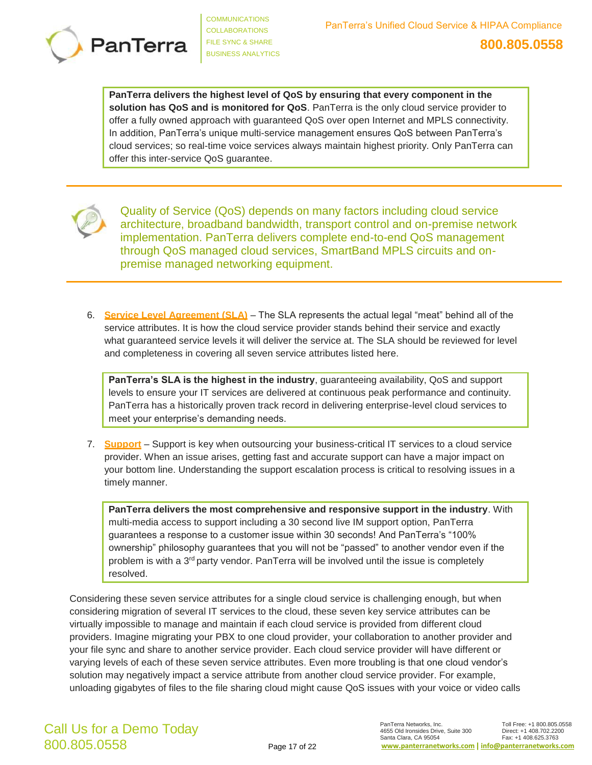

**PanTerra delivers the highest level of QoS by ensuring that every component in the solution has QoS and is monitored for QoS**. PanTerra is the only cloud service provider to offer a fully owned approach with guaranteed QoS over open Internet and MPLS connectivity. In addition, PanTerra's unique multi-service management ensures QoS between PanTerra's cloud services; so real-time voice services always maintain highest priority. Only PanTerra can offer this inter-service QoS guarantee.



Quality of Service (QoS) depends on many factors including cloud service architecture, broadband bandwidth, transport control and on-premise network implementation. PanTerra delivers complete end-to-end QoS management through QoS managed cloud services, SmartBand MPLS circuits and onpremise managed networking equipment.

6. **Service Level Agreement (SLA)** – The SLA represents the actual legal "meat" behind all of the service attributes. It is how the cloud service provider stands behind their service and exactly what guaranteed service levels it will deliver the service at. The SLA should be reviewed for level and completeness in covering all seven service attributes listed here.

**PanTerra's SLA is the highest in the industry**, guaranteeing availability, QoS and support levels to ensure your IT services are delivered at continuous peak performance and continuity. PanTerra has a historically proven track record in delivering enterprise-level cloud services to meet your enterprise's demanding needs.

7. **Support** – Support is key when outsourcing your business-critical IT services to a cloud service provider. When an issue arises, getting fast and accurate support can have a major impact on your bottom line. Understanding the support escalation process is critical to resolving issues in a timely manner.

**PanTerra delivers the most comprehensive and responsive support in the industry**. With multi-media access to support including a 30 second live IM support option, PanTerra guarantees a response to a customer issue within 30 seconds! And PanTerra's "100% ownership" philosophy guarantees that you will not be "passed" to another vendor even if the problem is with a 3<sup>rd</sup> party vendor. PanTerra will be involved until the issue is completely resolved.

Considering these seven service attributes for a single cloud service is challenging enough, but when considering migration of several IT services to the cloud, these seven key service attributes can be virtually impossible to manage and maintain if each cloud service is provided from different cloud providers. Imagine migrating your PBX to one cloud provider, your collaboration to another provider and your file sync and share to another service provider. Each cloud service provider will have different or varying levels of each of these seven service attributes. Even more troubling is that one cloud vendor's solution may negatively impact a service attribute from another cloud service provider. For example, unloading gigabytes of files to the file sharing cloud might cause QoS issues with your voice or video calls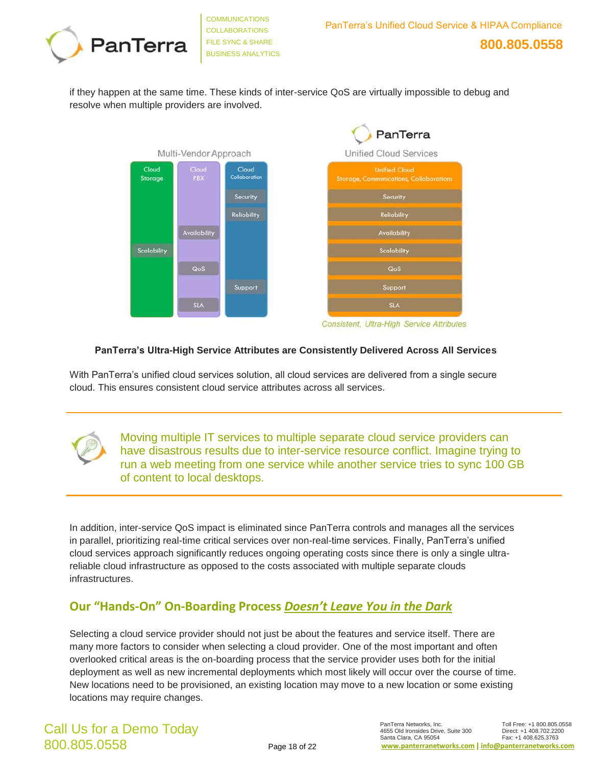

if they happen at the same time. These kinds of inter-service QoS are virtually impossible to debug and resolve when multiple providers are involved.





Consistent, Ultra-High Service Attributes

#### **PanTerra's Ultra-High Service Attributes are Consistently Delivered Across All Services**

With PanTerra's unified cloud services solution, all cloud services are delivered from a single secure cloud. This ensures consistent cloud service attributes across all services.



Moving multiple IT services to multiple separate cloud service providers can have disastrous results due to inter-service resource conflict. Imagine trying to run a web meeting from one service while another service tries to sync 100 GB of content to local desktops.

In addition, inter-service QoS impact is eliminated since PanTerra controls and manages all the services in parallel, prioritizing real-time critical services over non-real-time services. Finally, PanTerra's unified cloud services approach significantly reduces ongoing operating costs since there is only a single ultrareliable cloud infrastructure as opposed to the costs associated with multiple separate clouds infrastructures.

## **Our "Hands-On" On-Boarding Process** *Doesn't Leave You in the Dark*

Selecting a cloud service provider should not just be about the features and service itself. There are many more factors to consider when selecting a cloud provider. One of the most important and often overlooked critical areas is the on-boarding process that the service provider uses both for the initial deployment as well as new incremental deployments which most likely will occur over the course of time. New locations need to be provisioned, an existing location may move to a new location or some existing locations may require changes.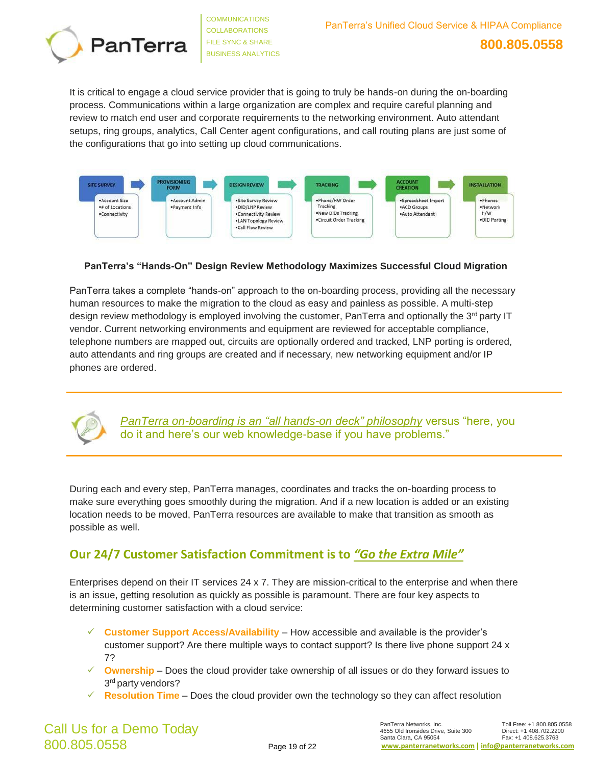

It is critical to engage a cloud service provider that is going to truly be hands-on during the on-boarding process. Communications within a large organization are complex and require careful planning and review to match end user and corporate requirements to the networking environment. Auto attendant setups, ring groups, analytics, Call Center agent configurations, and call routing plans are just some of the configurations that go into setting up cloud communications.



#### **PanTerra's "Hands-On" Design Review Methodology Maximizes Successful Cloud Migration**

PanTerra takes a complete "hands-on" approach to the on-boarding process, providing all the necessary human resources to make the migration to the cloud as easy and painless as possible. A multi-step design review methodology is employed involving the customer, PanTerra and optionally the 3<sup>rd</sup> party IT vendor. Current networking environments and equipment are reviewed for acceptable compliance, telephone numbers are mapped out, circuits are optionally ordered and tracked, LNP porting is ordered, auto attendants and ring groups are created and if necessary, new networking equipment and/or IP phones are ordered.



*PanTerra on-boarding is an "all hands-on deck" philosophy* versus "here, you do it and here's our web knowledge-base if you have problems."

During each and every step, PanTerra manages, coordinates and tracks the on-boarding process to make sure everything goes smoothly during the migration. And if a new location is added or an existing location needs to be moved, PanTerra resources are available to make that transition as smooth as possible as well.

## **Our 24/7 Customer Satisfaction Commitment is to** *"Go the Extra Mile"*

Enterprises depend on their IT services 24 x 7. They are mission-critical to the enterprise and when there is an issue, getting resolution as quickly as possible is paramount. There are four key aspects to determining customer satisfaction with a cloud service:

- ✓ **Customer Support Access/Availability**  How accessible and available is the provider's customer support? Are there multiple ways to contact support? Is there live phone support 24 x 7?
- ✓ **Ownership**  Does the cloud provider take ownership of all issues or do they forward issues to 3<sup>rd</sup> party vendors?
- ✓ **Resolution Time**  Does the cloud provider own the technology so they can affect resolution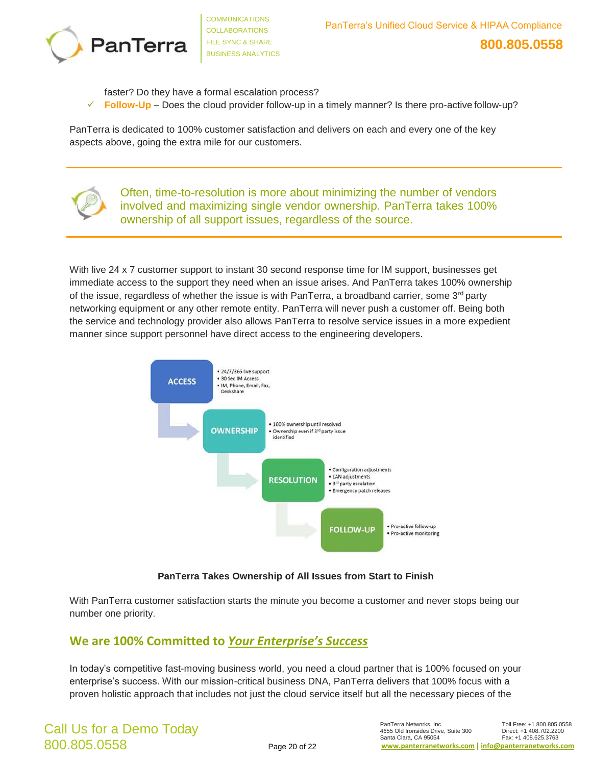

faster? Do they have a formal escalation process?

**Follow-Up** – Does the cloud provider follow-up in a timely manner? Is there pro-active follow-up?

PanTerra is dedicated to 100% customer satisfaction and delivers on each and every one of the key aspects above, going the extra mile for our customers.



Often, time-to-resolution is more about minimizing the number of vendors involved and maximizing single vendor ownership. PanTerra takes 100% ownership of all support issues, regardless of the source.

With live 24 x 7 customer support to instant 30 second response time for IM support, businesses get immediate access to the support they need when an issue arises. And PanTerra takes 100% ownership of the issue, regardless of whether the issue is with PanTerra, a broadband carrier, some  $3<sup>rd</sup>$  party networking equipment or any other remote entity. PanTerra will never push a customer off. Being both the service and technology provider also allows PanTerra to resolve service issues in a more expedient manner since support personnel have direct access to the engineering developers.



#### **PanTerra Takes Ownership of All Issues from Start to Finish**

With PanTerra customer satisfaction starts the minute you become a customer and never stops being our number one priority.

## **We are 100% Committed to** *Your Enterprise's Success*

In today's competitive fast-moving business world, you need a cloud partner that is 100% focused on your enterprise's success. With our mission-critical business DNA, PanTerra delivers that 100% focus with a proven holistic approach that includes not just the cloud service itself but all the necessary pieces of the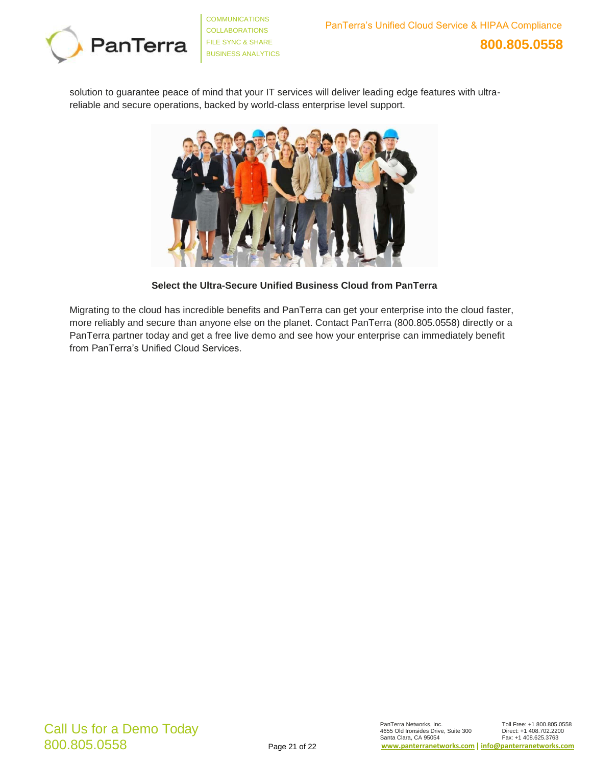

solution to guarantee peace of mind that your IT services will deliver leading edge features with ultrareliable and secure operations, backed by world-class enterprise level support.



**Select the Ultra-Secure Unified Business Cloud from PanTerra**

Migrating to the cloud has incredible benefits and PanTerra can get your enterprise into the cloud faster, more reliably and secure than anyone else on the planet. Contact PanTerra (800.805.0558) directly or a PanTerra partner today and get a free live demo and see how your enterprise can immediately benefit from PanTerra's Unified Cloud Services.